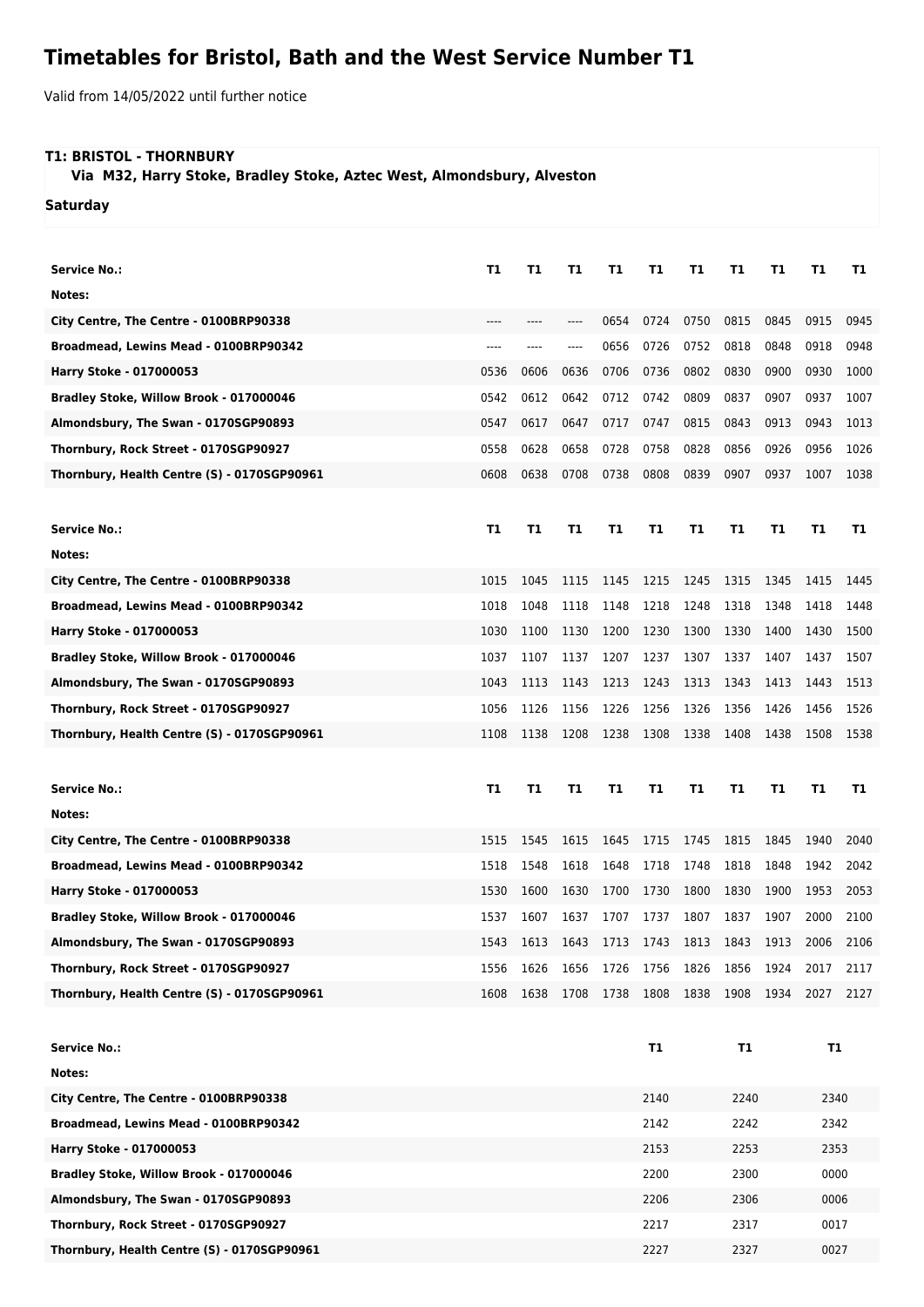## **Timetables for Bristol, Bath and the West Service Number T1**

Valid from 14/05/2022 until further notice

## **T1: BRISTOL - THORNBURY**

 **Via M32, Harry Stoke, Bradley Stoke, Aztec West, Almondsbury, Alveston**

**Saturday**

| <b>Service No.:</b>                         | Τ1   | T1   | Т1        | Τ1   | T1           | T1   | Τ1        | Т1   | Т1        | T1   |
|---------------------------------------------|------|------|-----------|------|--------------|------|-----------|------|-----------|------|
| Notes:                                      |      |      |           |      |              |      |           |      |           |      |
| City Centre, The Centre - 0100BRP90338      | ---- |      |           | 0654 | 0724         | 0750 | 0815      | 0845 | 0915      | 0945 |
| Broadmead, Lewins Mead - 0100BRP90342       | ---- | ---- | ----      | 0656 | 0726         | 0752 | 0818      | 0848 | 0918      | 0948 |
| Harry Stoke - 017000053                     | 0536 | 0606 | 0636      | 0706 | 0736         | 0802 | 0830      | 0900 | 0930      | 1000 |
| Bradley Stoke, Willow Brook - 017000046     | 0542 | 0612 | 0642      | 0712 | 0742         | 0809 | 0837      | 0907 | 0937      | 1007 |
| Almondsbury, The Swan - 0170SGP90893        | 0547 | 0617 | 0647      | 0717 | 0747         | 0815 | 0843      | 0913 | 0943      | 1013 |
| Thornbury, Rock Street - 0170SGP90927       | 0558 | 0628 | 0658      | 0728 | 0758         | 0828 | 0856      | 0926 | 0956      | 1026 |
| Thornbury, Health Centre (S) - 0170SGP90961 | 0608 | 0638 | 0708      | 0738 | 0808         | 0839 | 0907      | 0937 | 1007      | 1038 |
|                                             |      |      |           |      |              |      |           |      |           |      |
| <b>Service No.:</b>                         | Τ1   | T1   | T1        | Τ1   | T1           | T1   | Τ1        | Т1   | Т1        | Т1   |
| Notes:                                      |      |      |           |      |              |      |           |      |           |      |
| City Centre, The Centre - 0100BRP90338      | 1015 | 1045 | 1115      | 1145 | 1215         | 1245 | 1315      | 1345 | 1415      | 1445 |
| Broadmead, Lewins Mead - 0100BRP90342       | 1018 | 1048 | 1118      | 1148 | 1218         | 1248 | 1318      | 1348 | 1418      | 1448 |
| Harry Stoke - 017000053                     | 1030 | 1100 | 1130      | 1200 | 1230         | 1300 | 1330      | 1400 | 1430      | 1500 |
| Bradley Stoke, Willow Brook - 017000046     | 1037 | 1107 | 1137      | 1207 | 1237         | 1307 | 1337      | 1407 | 1437      | 1507 |
| Almondsbury, The Swan - 0170SGP90893        | 1043 | 1113 | 1143      | 1213 | 1243         | 1313 | 1343      | 1413 | 1443      | 1513 |
| Thornbury, Rock Street - 0170SGP90927       | 1056 | 1126 | 1156      | 1226 | 1256         | 1326 | 1356      | 1426 | 1456      | 1526 |
| Thornbury, Health Centre (S) - 0170SGP90961 | 1108 | 1138 | 1208      | 1238 | 1308         | 1338 | 1408      | 1438 | 1508      | 1538 |
|                                             |      |      |           |      |              |      |           |      |           |      |
| <b>Service No.:</b>                         | Т1   | T1   | T1        | Τ1   | T1           | T1   | Τ1        | T1   | Τ1        | T1   |
| Notes:                                      |      |      |           |      |              |      |           |      |           |      |
| City Centre, The Centre - 0100BRP90338      | 1515 | 1545 | 1615      | 1645 | 1715         | 1745 | 1815      | 1845 | 1940      | 2040 |
| Broadmead, Lewins Mead - 0100BRP90342       | 1518 | 1548 | 1618      | 1648 | 1718         | 1748 | 1818      | 1848 | 1942      | 2042 |
| Harry Stoke - 017000053                     | 1530 | 1600 | 1630      | 1700 | 1730         | 1800 | 1830      | 1900 | 1953      | 2053 |
| Bradley Stoke, Willow Brook - 017000046     | 1537 | 1607 | 1637      | 1707 | 1737         | 1807 | 1837      | 1907 | 2000      | 2100 |
| Almondsbury, The Swan - 0170SGP90893        | 1543 |      | 1613 1643 | 1713 | 1743 1813    |      | 1843      | 1913 | 2006      | 2106 |
| Thornbury, Rock Street - 0170SGP90927       | 1556 | 1626 | 1656      | 1726 | 1756         | 1826 | 1856      | 1924 | 2017      | 2117 |
| Thornbury, Health Centre (S) - 0170SGP90961 | 1608 |      | 1638 1708 | 1738 | 1808         | 1838 | 1908      | 1934 | 2027      | 2127 |
|                                             |      |      |           |      |              |      |           |      |           |      |
| <b>Service No.:</b>                         |      |      |           |      | <b>T1</b>    |      | <b>T1</b> |      | <b>T1</b> |      |
| Notes:                                      |      |      |           |      |              |      |           |      |           |      |
| City Centre, The Centre - 0100BRP90338      |      |      |           |      | 2140         | 2240 |           |      | 2340      |      |
| Broadmead, Lewins Mead - 0100BRP90342       |      |      |           |      | 2142         | 2242 |           | 2342 |           |      |
| Harry Stoke - 017000053                     |      |      |           |      | 2153<br>2253 |      |           | 2353 |           |      |
| Bradley Stoke, Willow Brook - 017000046     |      |      |           |      | 2200         |      | 2300      |      | 0000      |      |

**Almondsbury, The Swan - 0170SGP90893** 2206 2306 2306 2306 2306 **Thornbury, Rock Street - 0170SGP90927** 2217 2317 0017 **Thornbury, Health Centre (S) - 0170SGP90961** 2227 2327 0027